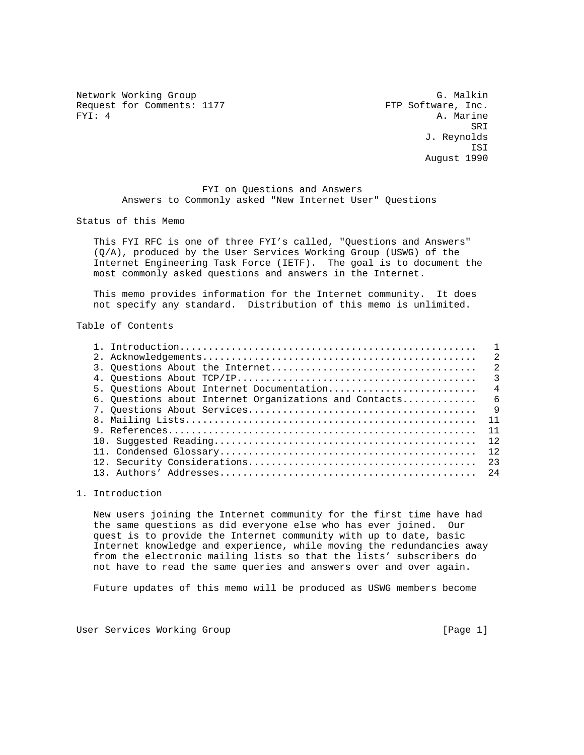Network Working Group G. Malkin G. Malkin Request for Comments: 1177 FTP Software, Inc.<br>FXI: 4 a. Marine

A. Marine SRI SANTO STANDARDI SE SANTO STANDARDI SE SANTO STANDARDI SE SANTO STANDARDI SE SANTO STANDARDI SE SANTO STAND J. Reynolds ISI August 1990

> FYI on Questions and Answers Answers to Commonly asked "New Internet User" Questions

Status of this Memo

 This FYI RFC is one of three FYI's called, "Questions and Answers" (Q/A), produced by the User Services Working Group (USWG) of the Internet Engineering Task Force (IETF). The goal is to document the most commonly asked questions and answers in the Internet.

 This memo provides information for the Internet community. It does not specify any standard. Distribution of this memo is unlimited.

Table of Contents

|                                                          | $\mathfrak{D}$ |
|----------------------------------------------------------|----------------|
|                                                          |                |
|                                                          |                |
| 5. Ouestions About Internet Documentation                | $\overline{4}$ |
| 6. Questions about Internet Organizations and Contacts 6 |                |
|                                                          |                |
|                                                          |                |
|                                                          |                |
|                                                          |                |
|                                                          | 12             |
|                                                          | 23             |
|                                                          |                |
|                                                          |                |

1. Introduction

 New users joining the Internet community for the first time have had the same questions as did everyone else who has ever joined. Our quest is to provide the Internet community with up to date, basic Internet knowledge and experience, while moving the redundancies away from the electronic mailing lists so that the lists' subscribers do not have to read the same queries and answers over and over again.

Future updates of this memo will be produced as USWG members become

User Services Working Group and the control of the control of the control of the control of the control of the control of the control of the control of the control of the control of the control of the control of the contro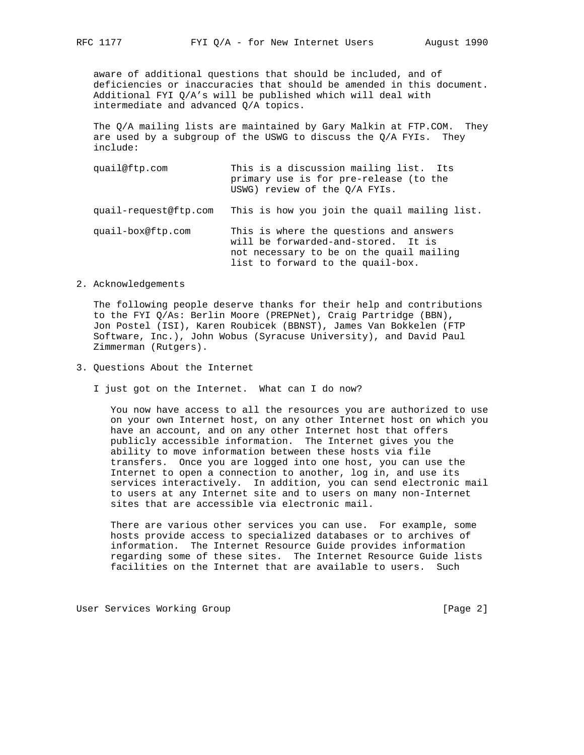aware of additional questions that should be included, and of deficiencies or inaccuracies that should be amended in this document. Additional FYI Q/A's will be published which will deal with intermediate and advanced Q/A topics.

 The Q/A mailing lists are maintained by Gary Malkin at FTP.COM. They are used by a subgroup of the USWG to discuss the Q/A FYIs. They include:

- quail@ftp.com This is a discussion mailing list. Its primary use is for pre-release (to the USWG) review of the Q/A FYIs. quail-request@ftp.com This is how you join the quail mailing list. quail-box@ftp.com This is where the questions and answers will be forwarded-and-stored. It is not necessary to be on the quail mailing list to forward to the quail-box.
- 2. Acknowledgements

 The following people deserve thanks for their help and contributions to the FYI Q/As: Berlin Moore (PREPNet), Craig Partridge (BBN), Jon Postel (ISI), Karen Roubicek (BBNST), James Van Bokkelen (FTP Software, Inc.), John Wobus (Syracuse University), and David Paul Zimmerman (Rutgers).

- 3. Questions About the Internet
	- I just got on the Internet. What can I do now?

 You now have access to all the resources you are authorized to use on your own Internet host, on any other Internet host on which you have an account, and on any other Internet host that offers publicly accessible information. The Internet gives you the ability to move information between these hosts via file transfers. Once you are logged into one host, you can use the Internet to open a connection to another, log in, and use its services interactively. In addition, you can send electronic mail to users at any Internet site and to users on many non-Internet sites that are accessible via electronic mail.

 There are various other services you can use. For example, some hosts provide access to specialized databases or to archives of information. The Internet Resource Guide provides information regarding some of these sites. The Internet Resource Guide lists facilities on the Internet that are available to users. Such

User Services Working Group **Example 2** 2 and the User Services Working Group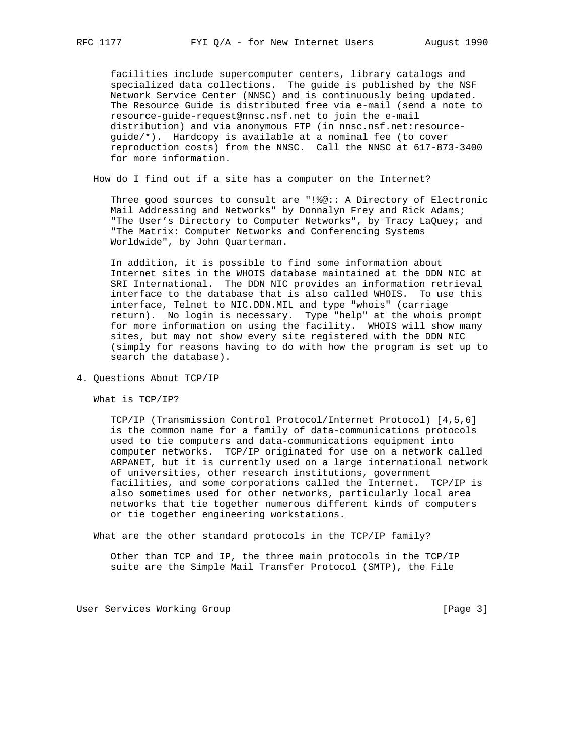facilities include supercomputer centers, library catalogs and specialized data collections. The guide is published by the NSF Network Service Center (NNSC) and is continuously being updated. The Resource Guide is distributed free via e-mail (send a note to resource-guide-request@nnsc.nsf.net to join the e-mail distribution) and via anonymous FTP (in nnsc.nsf.net:resource guide/\*). Hardcopy is available at a nominal fee (to cover reproduction costs) from the NNSC. Call the NNSC at 617-873-3400 for more information.

How do I find out if a site has a computer on the Internet?

 Three good sources to consult are "!%@:: A Directory of Electronic Mail Addressing and Networks" by Donnalyn Frey and Rick Adams; "The User's Directory to Computer Networks", by Tracy LaQuey; and "The Matrix: Computer Networks and Conferencing Systems Worldwide", by John Quarterman.

 In addition, it is possible to find some information about Internet sites in the WHOIS database maintained at the DDN NIC at SRI International. The DDN NIC provides an information retrieval interface to the database that is also called WHOIS. To use this interface, Telnet to NIC.DDN.MIL and type "whois" (carriage return). No login is necessary. Type "help" at the whois prompt for more information on using the facility. WHOIS will show many sites, but may not show every site registered with the DDN NIC (simply for reasons having to do with how the program is set up to search the database).

4. Questions About TCP/IP

What is TCP/IP?

 TCP/IP (Transmission Control Protocol/Internet Protocol) [4,5,6] is the common name for a family of data-communications protocols used to tie computers and data-communications equipment into computer networks. TCP/IP originated for use on a network called ARPANET, but it is currently used on a large international network of universities, other research institutions, government facilities, and some corporations called the Internet. TCP/IP is also sometimes used for other networks, particularly local area networks that tie together numerous different kinds of computers or tie together engineering workstations.

What are the other standard protocols in the TCP/IP family?

 Other than TCP and IP, the three main protocols in the TCP/IP suite are the Simple Mail Transfer Protocol (SMTP), the File

User Services Working Group **[Page 3]** [Page 3]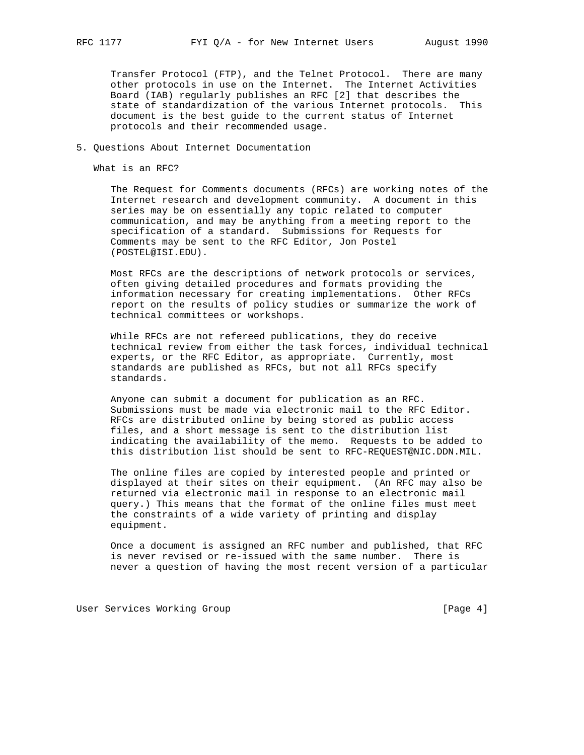Transfer Protocol (FTP), and the Telnet Protocol. There are many other protocols in use on the Internet. The Internet Activities Board (IAB) regularly publishes an RFC [2] that describes the state of standardization of the various Internet protocols. This document is the best guide to the current status of Internet protocols and their recommended usage.

## 5. Questions About Internet Documentation

What is an RFC?

 The Request for Comments documents (RFCs) are working notes of the Internet research and development community. A document in this series may be on essentially any topic related to computer communication, and may be anything from a meeting report to the specification of a standard. Submissions for Requests for Comments may be sent to the RFC Editor, Jon Postel (POSTEL@ISI.EDU).

 Most RFCs are the descriptions of network protocols or services, often giving detailed procedures and formats providing the information necessary for creating implementations. Other RFCs report on the results of policy studies or summarize the work of technical committees or workshops.

 While RFCs are not refereed publications, they do receive technical review from either the task forces, individual technical experts, or the RFC Editor, as appropriate. Currently, most standards are published as RFCs, but not all RFCs specify standards.

 Anyone can submit a document for publication as an RFC. Submissions must be made via electronic mail to the RFC Editor. RFCs are distributed online by being stored as public access files, and a short message is sent to the distribution list indicating the availability of the memo. Requests to be added to this distribution list should be sent to RFC-REQUEST@NIC.DDN.MIL.

 The online files are copied by interested people and printed or displayed at their sites on their equipment. (An RFC may also be returned via electronic mail in response to an electronic mail query.) This means that the format of the online files must meet the constraints of a wide variety of printing and display equipment.

 Once a document is assigned an RFC number and published, that RFC is never revised or re-issued with the same number. There is never a question of having the most recent version of a particular

User Services Working Group **Example 20** (Page 4)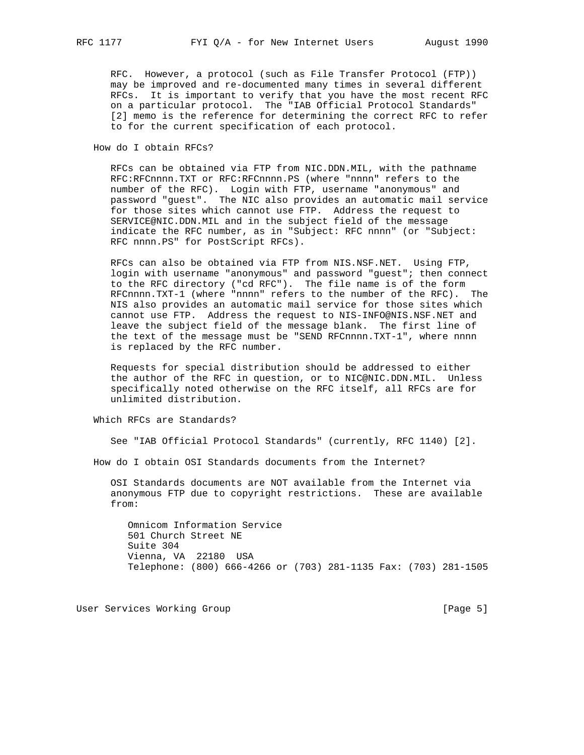RFC. However, a protocol (such as File Transfer Protocol (FTP)) may be improved and re-documented many times in several different RFCs. It is important to verify that you have the most recent RFC on a particular protocol. The "IAB Official Protocol Standards" [2] memo is the reference for determining the correct RFC to refer to for the current specification of each protocol.

How do I obtain RFCs?

 RFCs can be obtained via FTP from NIC.DDN.MIL, with the pathname RFC:RFCnnnn.TXT or RFC:RFCnnnn.PS (where "nnnn" refers to the number of the RFC). Login with FTP, username "anonymous" and password "guest". The NIC also provides an automatic mail service for those sites which cannot use FTP. Address the request to SERVICE@NIC.DDN.MIL and in the subject field of the message indicate the RFC number, as in "Subject: RFC nnnn" (or "Subject: RFC nnnn.PS" for PostScript RFCs).

 RFCs can also be obtained via FTP from NIS.NSF.NET. Using FTP, login with username "anonymous" and password "guest"; then connect to the RFC directory ("cd RFC"). The file name is of the form RFCnnnn.TXT-1 (where "nnnn" refers to the number of the RFC). The NIS also provides an automatic mail service for those sites which cannot use FTP. Address the request to NIS-INFO@NIS.NSF.NET and leave the subject field of the message blank. The first line of the text of the message must be "SEND RFCnnnn.TXT-1", where nnnn is replaced by the RFC number.

 Requests for special distribution should be addressed to either the author of the RFC in question, or to NIC@NIC.DDN.MIL. Unless specifically noted otherwise on the RFC itself, all RFCs are for unlimited distribution.

Which RFCs are Standards?

See "IAB Official Protocol Standards" (currently, RFC 1140) [2].

How do I obtain OSI Standards documents from the Internet?

 OSI Standards documents are NOT available from the Internet via anonymous FTP due to copyright restrictions. These are available from:

 Omnicom Information Service 501 Church Street NE Suite 304 Vienna, VA 22180 USA Telephone: (800) 666-4266 or (703) 281-1135 Fax: (703) 281-1505

User Services Working Group **Example 20** (Page 5)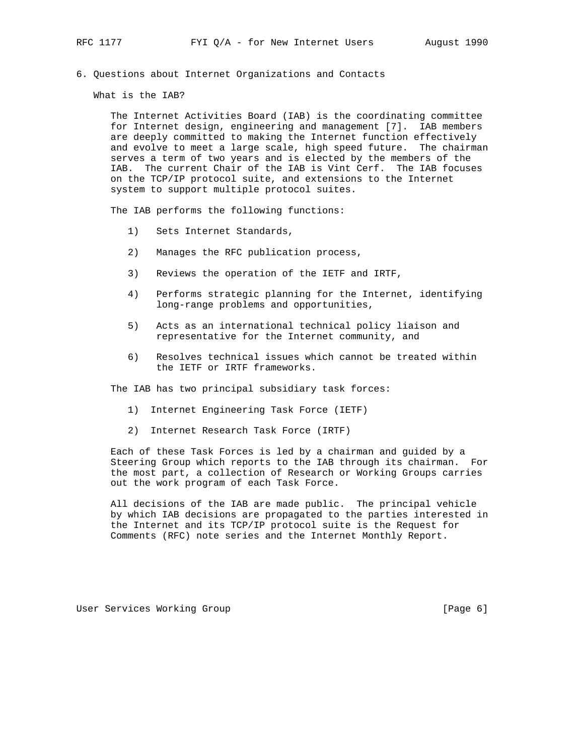6. Questions about Internet Organizations and Contacts

What is the IAB?

 The Internet Activities Board (IAB) is the coordinating committee for Internet design, engineering and management [7]. IAB members are deeply committed to making the Internet function effectively and evolve to meet a large scale, high speed future. The chairman serves a term of two years and is elected by the members of the IAB. The current Chair of the IAB is Vint Cerf. The IAB focuses on the TCP/IP protocol suite, and extensions to the Internet system to support multiple protocol suites.

The IAB performs the following functions:

- 1) Sets Internet Standards,
- 2) Manages the RFC publication process,
- 3) Reviews the operation of the IETF and IRTF,
- 4) Performs strategic planning for the Internet, identifying long-range problems and opportunities,
- 5) Acts as an international technical policy liaison and representative for the Internet community, and
- 6) Resolves technical issues which cannot be treated within the IETF or IRTF frameworks.

The IAB has two principal subsidiary task forces:

- 1) Internet Engineering Task Force (IETF)
- 2) Internet Research Task Force (IRTF)

 Each of these Task Forces is led by a chairman and guided by a Steering Group which reports to the IAB through its chairman. For the most part, a collection of Research or Working Groups carries out the work program of each Task Force.

 All decisions of the IAB are made public. The principal vehicle by which IAB decisions are propagated to the parties interested in the Internet and its TCP/IP protocol suite is the Request for Comments (RFC) note series and the Internet Monthly Report.

User Services Working Group [Page 6]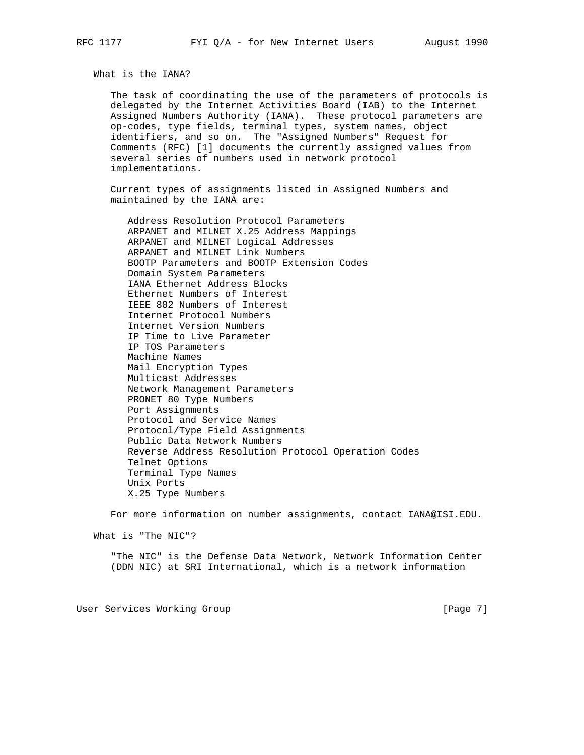What is the IANA?

 The task of coordinating the use of the parameters of protocols is delegated by the Internet Activities Board (IAB) to the Internet Assigned Numbers Authority (IANA). These protocol parameters are op-codes, type fields, terminal types, system names, object identifiers, and so on. The "Assigned Numbers" Request for Comments (RFC) [1] documents the currently assigned values from several series of numbers used in network protocol implementations.

 Current types of assignments listed in Assigned Numbers and maintained by the IANA are:

 Address Resolution Protocol Parameters ARPANET and MILNET X.25 Address Mappings ARPANET and MILNET Logical Addresses ARPANET and MILNET Link Numbers BOOTP Parameters and BOOTP Extension Codes Domain System Parameters IANA Ethernet Address Blocks Ethernet Numbers of Interest IEEE 802 Numbers of Interest Internet Protocol Numbers Internet Version Numbers IP Time to Live Parameter IP TOS Parameters Machine Names Mail Encryption Types Multicast Addresses Network Management Parameters PRONET 80 Type Numbers Port Assignments Protocol and Service Names Protocol/Type Field Assignments Public Data Network Numbers Reverse Address Resolution Protocol Operation Codes Telnet Options Terminal Type Names Unix Ports X.25 Type Numbers

For more information on number assignments, contact IANA@ISI.EDU.

What is "The NIC"?

 "The NIC" is the Defense Data Network, Network Information Center (DDN NIC) at SRI International, which is a network information

User Services Working Group **Example 20** (Page 7)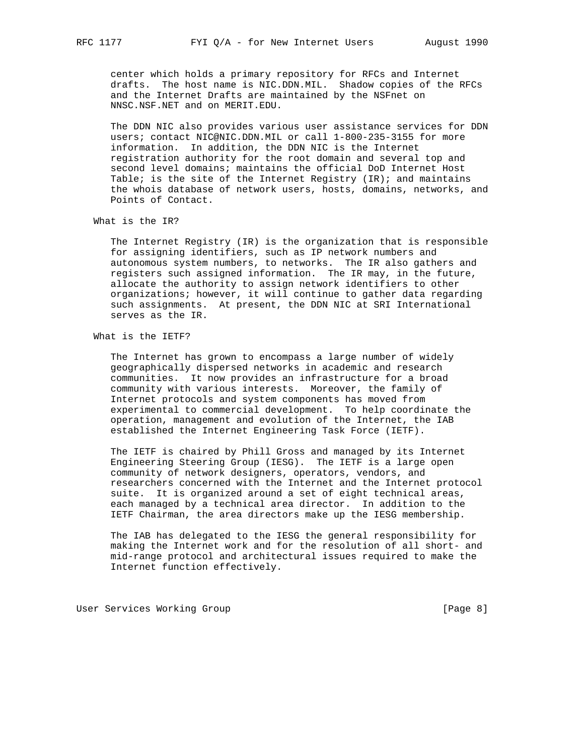center which holds a primary repository for RFCs and Internet drafts. The host name is NIC.DDN.MIL. Shadow copies of the RFCs and the Internet Drafts are maintained by the NSFnet on NNSC.NSF.NET and on MERIT.EDU.

 The DDN NIC also provides various user assistance services for DDN users; contact NIC@NIC.DDN.MIL or call 1-800-235-3155 for more information. In addition, the DDN NIC is the Internet registration authority for the root domain and several top and second level domains; maintains the official DoD Internet Host Table; is the site of the Internet Registry (IR); and maintains the whois database of network users, hosts, domains, networks, and Points of Contact.

What is the IR?

 The Internet Registry (IR) is the organization that is responsible for assigning identifiers, such as IP network numbers and autonomous system numbers, to networks. The IR also gathers and registers such assigned information. The IR may, in the future, allocate the authority to assign network identifiers to other organizations; however, it will continue to gather data regarding such assignments. At present, the DDN NIC at SRI International serves as the IR.

What is the IETF?

 The Internet has grown to encompass a large number of widely geographically dispersed networks in academic and research communities. It now provides an infrastructure for a broad community with various interests. Moreover, the family of Internet protocols and system components has moved from experimental to commercial development. To help coordinate the operation, management and evolution of the Internet, the IAB established the Internet Engineering Task Force (IETF).

 The IETF is chaired by Phill Gross and managed by its Internet Engineering Steering Group (IESG). The IETF is a large open community of network designers, operators, vendors, and researchers concerned with the Internet and the Internet protocol suite. It is organized around a set of eight technical areas, each managed by a technical area director. In addition to the IETF Chairman, the area directors make up the IESG membership.

 The IAB has delegated to the IESG the general responsibility for making the Internet work and for the resolution of all short- and mid-range protocol and architectural issues required to make the Internet function effectively.

User Services Working Group **Example 20** (Page 8)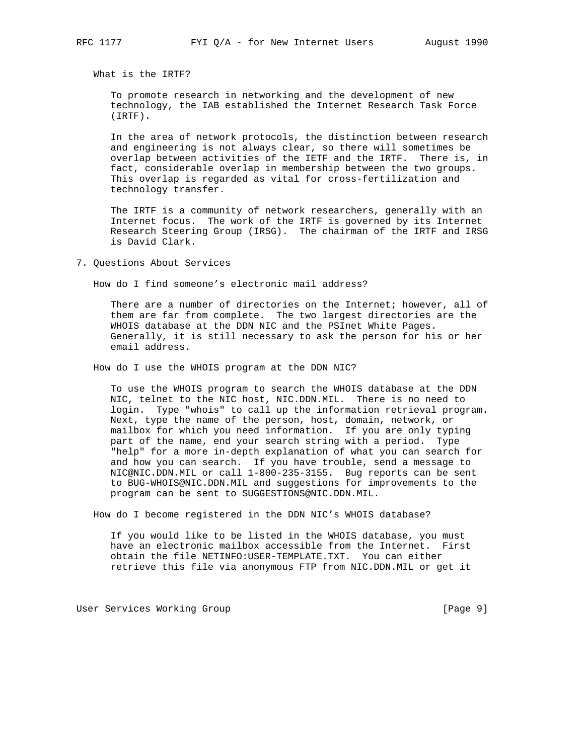What is the IRTF?

 To promote research in networking and the development of new technology, the IAB established the Internet Research Task Force (IRTF).

 In the area of network protocols, the distinction between research and engineering is not always clear, so there will sometimes be overlap between activities of the IETF and the IRTF. There is, in fact, considerable overlap in membership between the two groups. This overlap is regarded as vital for cross-fertilization and technology transfer.

 The IRTF is a community of network researchers, generally with an Internet focus. The work of the IRTF is governed by its Internet Research Steering Group (IRSG). The chairman of the IRTF and IRSG is David Clark.

7. Questions About Services

How do I find someone's electronic mail address?

 There are a number of directories on the Internet; however, all of them are far from complete. The two largest directories are the WHOIS database at the DDN NIC and the PSInet White Pages. Generally, it is still necessary to ask the person for his or her email address.

How do I use the WHOIS program at the DDN NIC?

 To use the WHOIS program to search the WHOIS database at the DDN NIC, telnet to the NIC host, NIC.DDN.MIL. There is no need to login. Type "whois" to call up the information retrieval program. Next, type the name of the person, host, domain, network, or mailbox for which you need information. If you are only typing part of the name, end your search string with a period. Type "help" for a more in-depth explanation of what you can search for and how you can search. If you have trouble, send a message to NIC@NIC.DDN.MIL or call 1-800-235-3155. Bug reports can be sent to BUG-WHOIS@NIC.DDN.MIL and suggestions for improvements to the program can be sent to SUGGESTIONS@NIC.DDN.MIL.

How do I become registered in the DDN NIC's WHOIS database?

 If you would like to be listed in the WHOIS database, you must have an electronic mailbox accessible from the Internet. First obtain the file NETINFO:USER-TEMPLATE.TXT. You can either retrieve this file via anonymous FTP from NIC.DDN.MIL or get it

User Services Working Group **Example 20** (Page 9)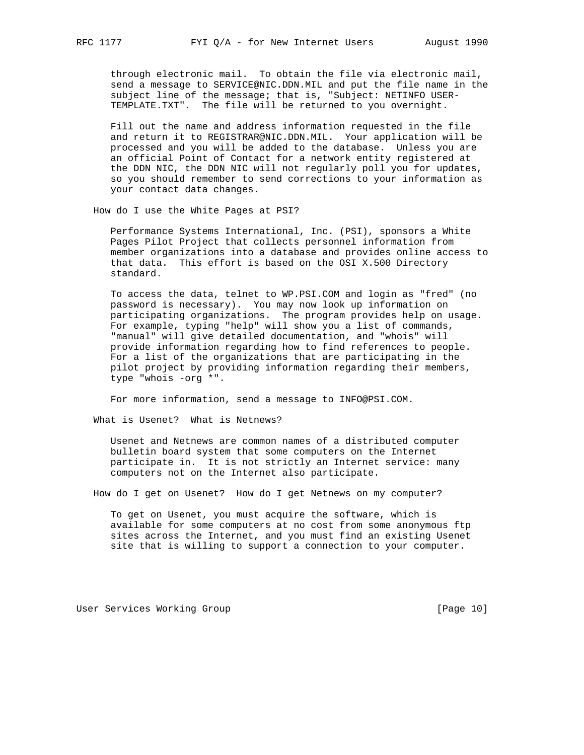through electronic mail. To obtain the file via electronic mail, send a message to SERVICE@NIC.DDN.MIL and put the file name in the subject line of the message; that is, "Subject: NETINFO USER- TEMPLATE.TXT". The file will be returned to you overnight.

 Fill out the name and address information requested in the file and return it to REGISTRAR@NIC.DDN.MIL. Your application will be processed and you will be added to the database. Unless you are an official Point of Contact for a network entity registered at the DDN NIC, the DDN NIC will not regularly poll you for updates, so you should remember to send corrections to your information as your contact data changes.

How do I use the White Pages at PSI?

 Performance Systems International, Inc. (PSI), sponsors a White Pages Pilot Project that collects personnel information from member organizations into a database and provides online access to that data. This effort is based on the OSI X.500 Directory standard.

 To access the data, telnet to WP.PSI.COM and login as "fred" (no password is necessary). You may now look up information on participating organizations. The program provides help on usage. For example, typing "help" will show you a list of commands, "manual" will give detailed documentation, and "whois" will provide information regarding how to find references to people. For a list of the organizations that are participating in the pilot project by providing information regarding their members, type "whois -org \*".

For more information, send a message to INFO@PSI.COM.

What is Usenet? What is Netnews?

 Usenet and Netnews are common names of a distributed computer bulletin board system that some computers on the Internet participate in. It is not strictly an Internet service: many computers not on the Internet also participate.

How do I get on Usenet? How do I get Netnews on my computer?

 To get on Usenet, you must acquire the software, which is available for some computers at no cost from some anonymous ftp sites across the Internet, and you must find an existing Usenet site that is willing to support a connection to your computer.

User Services Working Group **[Page 10]** [Page 10]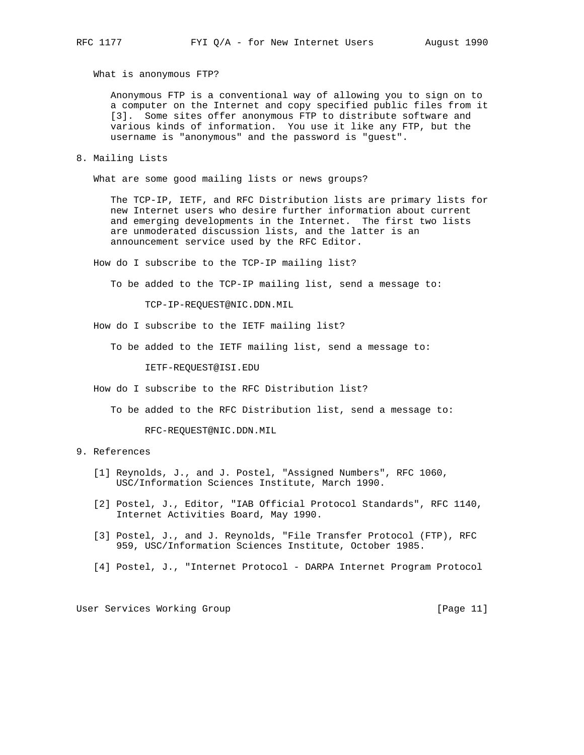What is anonymous FTP?

 Anonymous FTP is a conventional way of allowing you to sign on to a computer on the Internet and copy specified public files from it [3]. Some sites offer anonymous FTP to distribute software and various kinds of information. You use it like any FTP, but the username is "anonymous" and the password is "guest".

8. Mailing Lists

What are some good mailing lists or news groups?

 The TCP-IP, IETF, and RFC Distribution lists are primary lists for new Internet users who desire further information about current and emerging developments in the Internet. The first two lists are unmoderated discussion lists, and the latter is an announcement service used by the RFC Editor.

How do I subscribe to the TCP-IP mailing list?

To be added to the TCP-IP mailing list, send a message to:

TCP-IP-REQUEST@NIC.DDN.MIL

How do I subscribe to the IETF mailing list?

To be added to the IETF mailing list, send a message to:

IETF-REQUEST@ISI.EDU

How do I subscribe to the RFC Distribution list?

To be added to the RFC Distribution list, send a message to:

RFC-REQUEST@NIC.DDN.MIL

## 9. References

- [1] Reynolds, J., and J. Postel, "Assigned Numbers", RFC 1060, USC/Information Sciences Institute, March 1990.
- [2] Postel, J., Editor, "IAB Official Protocol Standards", RFC 1140, Internet Activities Board, May 1990.
- [3] Postel, J., and J. Reynolds, "File Transfer Protocol (FTP), RFC 959, USC/Information Sciences Institute, October 1985.
- [4] Postel, J., "Internet Protocol DARPA Internet Program Protocol

User Services Working Group [Page 11]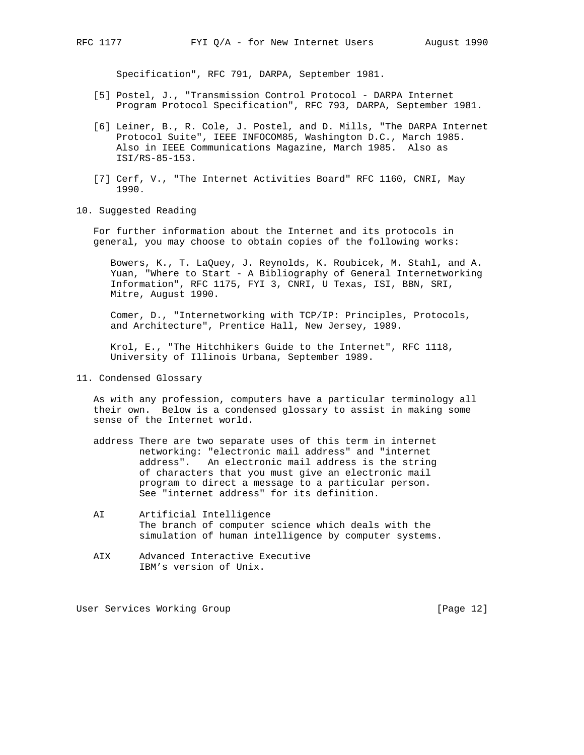Specification", RFC 791, DARPA, September 1981.

- [5] Postel, J., "Transmission Control Protocol DARPA Internet Program Protocol Specification", RFC 793, DARPA, September 1981.
- [6] Leiner, B., R. Cole, J. Postel, and D. Mills, "The DARPA Internet Protocol Suite", IEEE INFOCOM85, Washington D.C., March 1985. Also in IEEE Communications Magazine, March 1985. Also as ISI/RS-85-153.
- [7] Cerf, V., "The Internet Activities Board" RFC 1160, CNRI, May 1990.
- 10. Suggested Reading

 For further information about the Internet and its protocols in general, you may choose to obtain copies of the following works:

 Bowers, K., T. LaQuey, J. Reynolds, K. Roubicek, M. Stahl, and A. Yuan, "Where to Start - A Bibliography of General Internetworking Information", RFC 1175, FYI 3, CNRI, U Texas, ISI, BBN, SRI, Mitre, August 1990.

 Comer, D., "Internetworking with TCP/IP: Principles, Protocols, and Architecture", Prentice Hall, New Jersey, 1989.

 Krol, E., "The Hitchhikers Guide to the Internet", RFC 1118, University of Illinois Urbana, September 1989.

11. Condensed Glossary

 As with any profession, computers have a particular terminology all their own. Below is a condensed glossary to assist in making some sense of the Internet world.

- address There are two separate uses of this term in internet networking: "electronic mail address" and "internet address". An electronic mail address is the string of characters that you must give an electronic mail program to direct a message to a particular person. See "internet address" for its definition.
- AI Artificial Intelligence The branch of computer science which deals with the simulation of human intelligence by computer systems.
- AIX Advanced Interactive Executive IBM's version of Unix.

User Services Working Group [Page 12]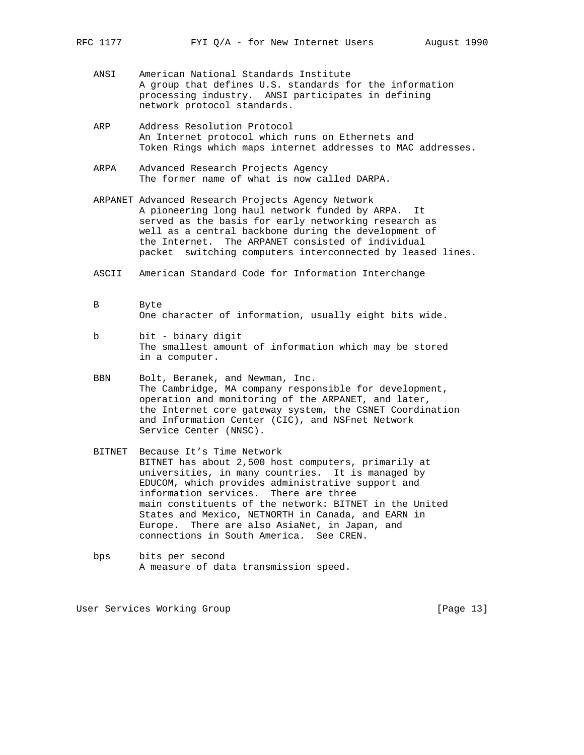- ANSI American National Standards Institute A group that defines U.S. standards for the information processing industry. ANSI participates in defining network protocol standards.
- ARP Address Resolution Protocol An Internet protocol which runs on Ethernets and Token Rings which maps internet addresses to MAC addresses.
- ARPA Advanced Research Projects Agency The former name of what is now called DARPA.
- ARPANET Advanced Research Projects Agency Network A pioneering long haul network funded by ARPA. It served as the basis for early networking research as well as a central backbone during the development of the Internet. The ARPANET consisted of individual packet switching computers interconnected by leased lines.
- ASCII American Standard Code for Information Interchange
- B Byte One character of information, usually eight bits wide.
- b bit binary digit The smallest amount of information which may be stored in a computer.
- BBN Bolt, Beranek, and Newman, Inc. The Cambridge, MA company responsible for development, operation and monitoring of the ARPANET, and later, the Internet core gateway system, the CSNET Coordination and Information Center (CIC), and NSFnet Network Service Center (NNSC).
- BITNET Because It's Time Network BITNET has about 2,500 host computers, primarily at universities, in many countries. It is managed by EDUCOM, which provides administrative support and information services. There are three main constituents of the network: BITNET in the United States and Mexico, NETNORTH in Canada, and EARN in Europe. There are also AsiaNet, in Japan, and connections in South America. See CREN.
- bps bits per second A measure of data transmission speed.

User Services Working Group [Page 13]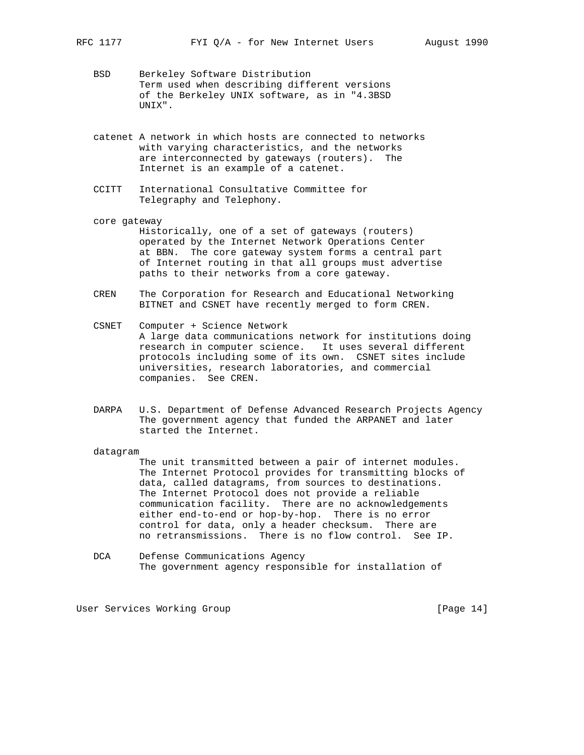- BSD Berkeley Software Distribution Term used when describing different versions of the Berkeley UNIX software, as in "4.3BSD UNIX".
- catenet A network in which hosts are connected to networks with varying characteristics, and the networks are interconnected by gateways (routers). The Internet is an example of a catenet.
- CCITT International Consultative Committee for Telegraphy and Telephony.
- core gateway Historically, one of a set of gateways (routers) operated by the Internet Network Operations Center at BBN. The core gateway system forms a central part of Internet routing in that all groups must advertise paths to their networks from a core gateway.
- CREN The Corporation for Research and Educational Networking BITNET and CSNET have recently merged to form CREN.
- CSNET Computer + Science Network A large data communications network for institutions doing research in computer science. It uses several different protocols including some of its own. CSNET sites include universities, research laboratories, and commercial companies. See CREN.
- DARPA U.S. Department of Defense Advanced Research Projects Agency The government agency that funded the ARPANET and later started the Internet.

#### datagram

 The unit transmitted between a pair of internet modules. The Internet Protocol provides for transmitting blocks of data, called datagrams, from sources to destinations. The Internet Protocol does not provide a reliable communication facility. There are no acknowledgements either end-to-end or hop-by-hop. There is no error control for data, only a header checksum. There are no retransmissions. There is no flow control. See IP.

 DCA Defense Communications Agency The government agency responsible for installation of

User Services Working Group [Page 14]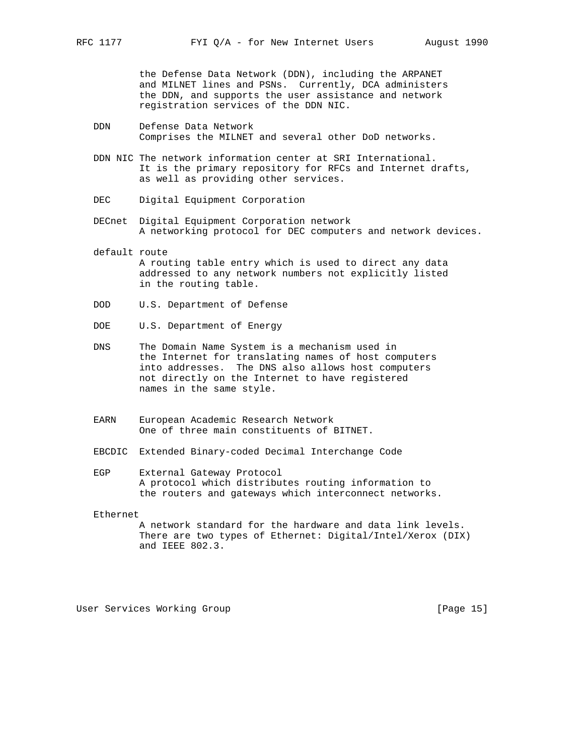the Defense Data Network (DDN), including the ARPANET and MILNET lines and PSNs. Currently, DCA administers the DDN, and supports the user assistance and network registration services of the DDN NIC.

- DDN Defense Data Network Comprises the MILNET and several other DoD networks.
- DDN NIC The network information center at SRI International. It is the primary repository for RFCs and Internet drafts, as well as providing other services.
- DEC Digital Equipment Corporation
- DECnet Digital Equipment Corporation network A networking protocol for DEC computers and network devices.
- default route A routing table entry which is used to direct any data addressed to any network numbers not explicitly listed in the routing table.
- DOD U.S. Department of Defense
- DOE U.S. Department of Energy
- DNS The Domain Name System is a mechanism used in the Internet for translating names of host computers into addresses. The DNS also allows host computers not directly on the Internet to have registered names in the same style.
- EARN European Academic Research Network One of three main constituents of BITNET.
- EBCDIC Extended Binary-coded Decimal Interchange Code
- EGP External Gateway Protocol A protocol which distributes routing information to the routers and gateways which interconnect networks.

Ethernet

 A network standard for the hardware and data link levels. There are two types of Ethernet: Digital/Intel/Xerox (DIX) and IEEE 802.3.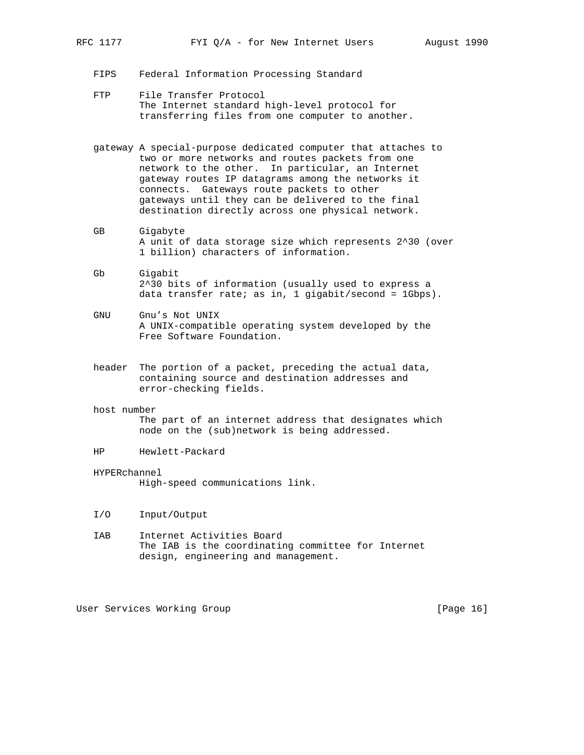- FIPS Federal Information Processing Standard
- FTP File Transfer Protocol The Internet standard high-level protocol for transferring files from one computer to another.
- gateway A special-purpose dedicated computer that attaches to two or more networks and routes packets from one network to the other. In particular, an Internet gateway routes IP datagrams among the networks it connects. Gateways route packets to other gateways until they can be delivered to the final destination directly across one physical network.
- GB Gigabyte A unit of data storage size which represents 2^30 (over 1 billion) characters of information.
- Gb Gigabit 2^30 bits of information (usually used to express a data transfer rate; as in, 1 gigabit/second =  $1Gbps$ ).
- GNU Gnu's Not UNIX A UNIX-compatible operating system developed by the Free Software Foundation.
- header The portion of a packet, preceding the actual data, containing source and destination addresses and error-checking fields.
- host number The part of an internet address that designates which node on the (sub)network is being addressed.
- HP Hewlett-Packard
- HYPERchannel High-speed communications link.
- I/O Input/Output
- IAB Internet Activities Board The IAB is the coordinating committee for Internet design, engineering and management.

User Services Working Group [Page 16]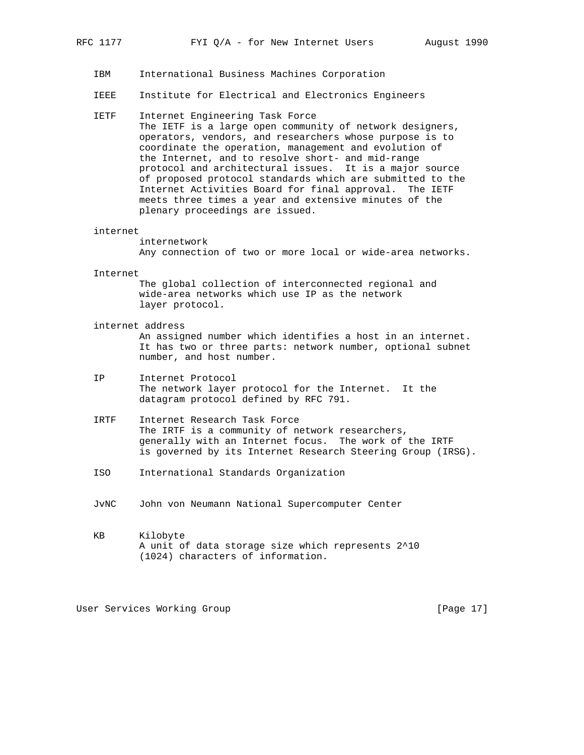- IBM International Business Machines Corporation
- IEEE Institute for Electrical and Electronics Engineers
- IETF Internet Engineering Task Force The IETF is a large open community of network designers, operators, vendors, and researchers whose purpose is to coordinate the operation, management and evolution of the Internet, and to resolve short- and mid-range protocol and architectural issues. It is a major source of proposed protocol standards which are submitted to the Internet Activities Board for final approval. The IETF meets three times a year and extensive minutes of the plenary proceedings are issued.

#### internet

 internetwork Any connection of two or more local or wide-area networks.

Internet

 The global collection of interconnected regional and wide-area networks which use IP as the network layer protocol.

internet address

 An assigned number which identifies a host in an internet. It has two or three parts: network number, optional subnet number, and host number.

- IP Internet Protocol The network layer protocol for the Internet. It the datagram protocol defined by RFC 791.
- IRTF Internet Research Task Force The IRTF is a community of network researchers, generally with an Internet focus. The work of the IRTF is governed by its Internet Research Steering Group (IRSG).
- ISO International Standards Organization
- JvNC John von Neumann National Supercomputer Center
- KB Kilobyte A unit of data storage size which represents 2^10 (1024) characters of information.

User Services Working Group [Page 17]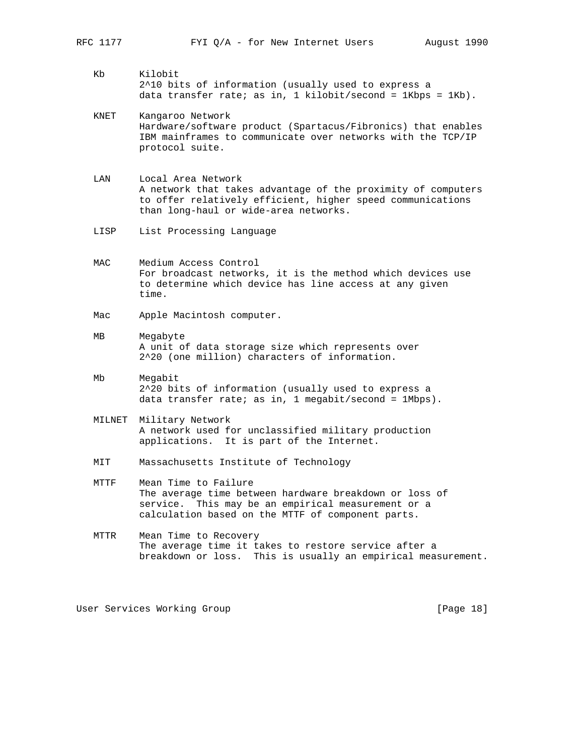- - Kb Kilobit 2^10 bits of information (usually used to express a data transfer rate; as in, 1 kilobit/second =  $1Kbps = 1Kb$ ).
	- KNET Kangaroo Network Hardware/software product (Spartacus/Fibronics) that enables IBM mainframes to communicate over networks with the TCP/IP protocol suite.
	- LAN Local Area Network A network that takes advantage of the proximity of computers to offer relatively efficient, higher speed communications than long-haul or wide-area networks.
	- LISP List Processing Language
	- MAC Medium Access Control For broadcast networks, it is the method which devices use to determine which device has line access at any given time.
	- Mac Apple Macintosh computer.
	- MB Megabyte A unit of data storage size which represents over 2^20 (one million) characters of information.
	- Mb Megabit 2^20 bits of information (usually used to express a data transfer rate; as in, 1 megabit/second = 1Mbps).
	- MILNET Military Network A network used for unclassified military production applications. It is part of the Internet.
	- MIT Massachusetts Institute of Technology
	- MTTF Mean Time to Failure The average time between hardware breakdown or loss of service. This may be an empirical measurement or a calculation based on the MTTF of component parts.
	- MTTR Mean Time to Recovery The average time it takes to restore service after a breakdown or loss. This is usually an empirical measurement.

User Services Working Group [Page 18]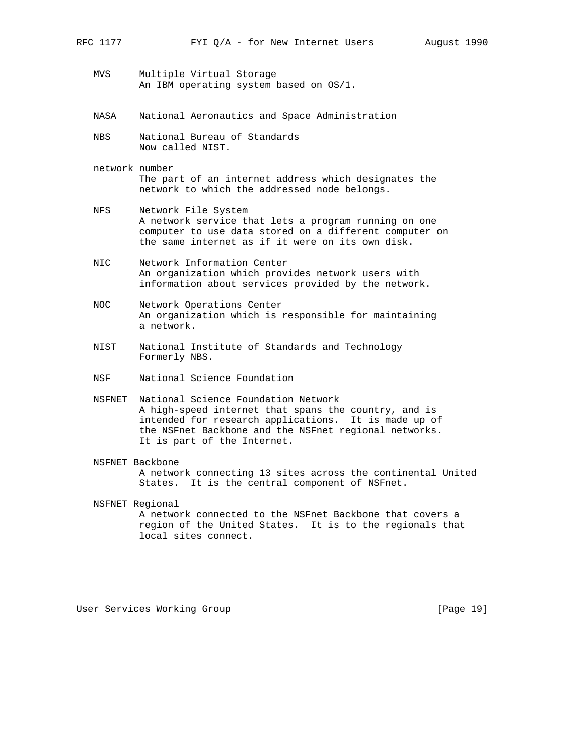- MVS Multiple Virtual Storage An IBM operating system based on OS/1.
- NASA National Aeronautics and Space Administration
- NBS National Bureau of Standards Now called NIST.
- network number The part of an internet address which designates the network to which the addressed node belongs.
- NFS Network File System A network service that lets a program running on one computer to use data stored on a different computer on the same internet as if it were on its own disk.
- NIC Network Information Center An organization which provides network users with information about services provided by the network.
- NOC Network Operations Center An organization which is responsible for maintaining a network.
- NIST National Institute of Standards and Technology Formerly NBS.
- NSF National Science Foundation
- NSFNET National Science Foundation Network A high-speed internet that spans the country, and is intended for research applications. It is made up of the NSFnet Backbone and the NSFnet regional networks. It is part of the Internet.
- NSFNET Backbone A network connecting 13 sites across the continental United States. It is the central component of NSFnet.
- NSFNET Regional A network connected to the NSFnet Backbone that covers a region of the United States. It is to the regionals that local sites connect.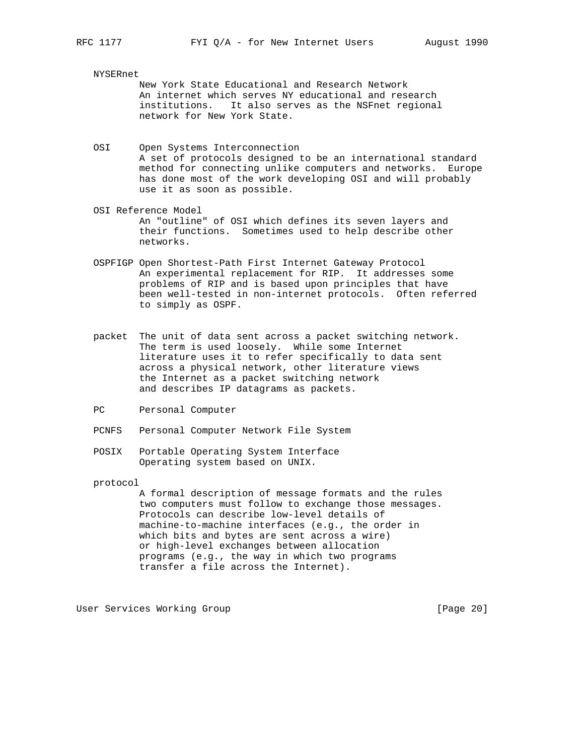# NYSERnet

 New York State Educational and Research Network An internet which serves NY educational and research institutions. It also serves as the NSFnet regional network for New York State.

- OSI Open Systems Interconnection A set of protocols designed to be an international standard method for connecting unlike computers and networks. Europe has done most of the work developing OSI and will probably use it as soon as possible.
- OSI Reference Model An "outline" of OSI which defines its seven layers and their functions. Sometimes used to help describe other networks.
- OSPFIGP Open Shortest-Path First Internet Gateway Protocol An experimental replacement for RIP. It addresses some problems of RIP and is based upon principles that have been well-tested in non-internet protocols. Often referred to simply as OSPF.
- packet The unit of data sent across a packet switching network. The term is used loosely. While some Internet literature uses it to refer specifically to data sent across a physical network, other literature views the Internet as a packet switching network and describes IP datagrams as packets.
- PC Personal Computer
- PCNFS Personal Computer Network File System
- POSIX Portable Operating System Interface Operating system based on UNIX.

protocol

 A formal description of message formats and the rules two computers must follow to exchange those messages. Protocols can describe low-level details of machine-to-machine interfaces (e.g., the order in which bits and bytes are sent across a wire) or high-level exchanges between allocation programs (e.g., the way in which two programs transfer a file across the Internet).

User Services Working Group **[Page 20]** [Page 20]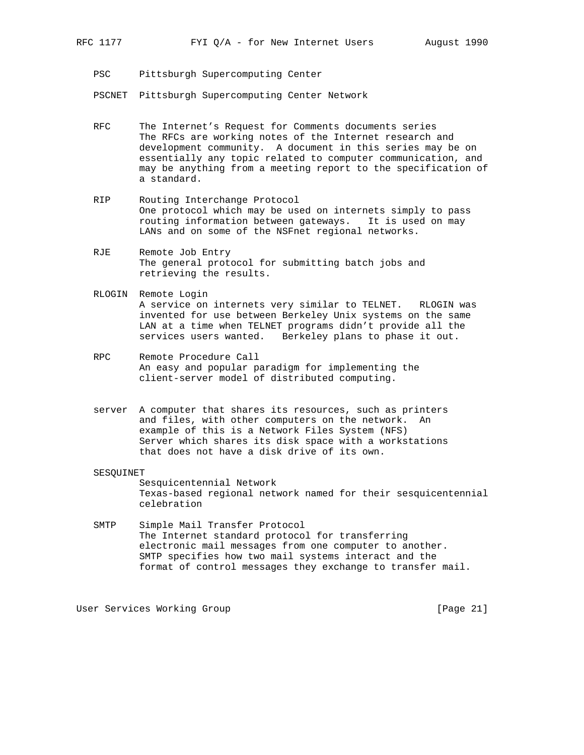PSC Pittsburgh Supercomputing Center

PSCNET Pittsburgh Supercomputing Center Network

- RFC The Internet's Request for Comments documents series The RFCs are working notes of the Internet research and development community. A document in this series may be on essentially any topic related to computer communication, and may be anything from a meeting report to the specification of a standard.
- RIP Routing Interchange Protocol One protocol which may be used on internets simply to pass routing information between gateways. It is used on may LANs and on some of the NSFnet regional networks.
- RJE Remote Job Entry The general protocol for submitting batch jobs and retrieving the results.
- RLOGIN Remote Login A service on internets very similar to TELNET. RLOGIN was invented for use between Berkeley Unix systems on the same LAN at a time when TELNET programs didn't provide all the services users wanted. Berkeley plans to phase it out.
- RPC Remote Procedure Call An easy and popular paradigm for implementing the client-server model of distributed computing.
- server A computer that shares its resources, such as printers and files, with other computers on the network. An example of this is a Network Files System (NFS) Server which shares its disk space with a workstations that does not have a disk drive of its own.

### SESQUINET

 Sesquicentennial Network Texas-based regional network named for their sesquicentennial celebration

 SMTP Simple Mail Transfer Protocol The Internet standard protocol for transferring electronic mail messages from one computer to another. SMTP specifies how two mail systems interact and the format of control messages they exchange to transfer mail.

User Services Working Group [Page 21]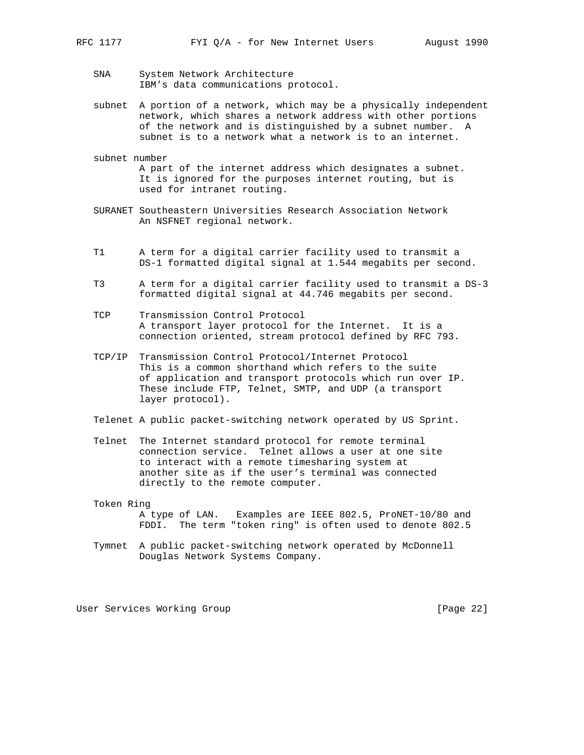- SNA System Network Architecture IBM's data communications protocol.
- subnet A portion of a network, which may be a physically independent network, which shares a network address with other portions of the network and is distinguished by a subnet number. A subnet is to a network what a network is to an internet.
- subnet number A part of the internet address which designates a subnet. It is ignored for the purposes internet routing, but is used for intranet routing.
- SURANET Southeastern Universities Research Association Network An NSFNET regional network.
- T1 A term for a digital carrier facility used to transmit a DS-1 formatted digital signal at 1.544 megabits per second.
- T3 A term for a digital carrier facility used to transmit a DS-3 formatted digital signal at 44.746 megabits per second.
- TCP Transmission Control Protocol A transport layer protocol for the Internet. It is a connection oriented, stream protocol defined by RFC 793.
- TCP/IP Transmission Control Protocol/Internet Protocol This is a common shorthand which refers to the suite of application and transport protocols which run over IP. These include FTP, Telnet, SMTP, and UDP (a transport layer protocol).
- Telenet A public packet-switching network operated by US Sprint.
- Telnet The Internet standard protocol for remote terminal connection service. Telnet allows a user at one site to interact with a remote timesharing system at another site as if the user's terminal was connected directly to the remote computer.
- Token Ring A type of LAN. Examples are IEEE 802.5, ProNET-10/80 and FDDI. The term "token ring" is often used to denote 802.5
- Tymnet A public packet-switching network operated by McDonnell Douglas Network Systems Company.

User Services Working Group [Page 22]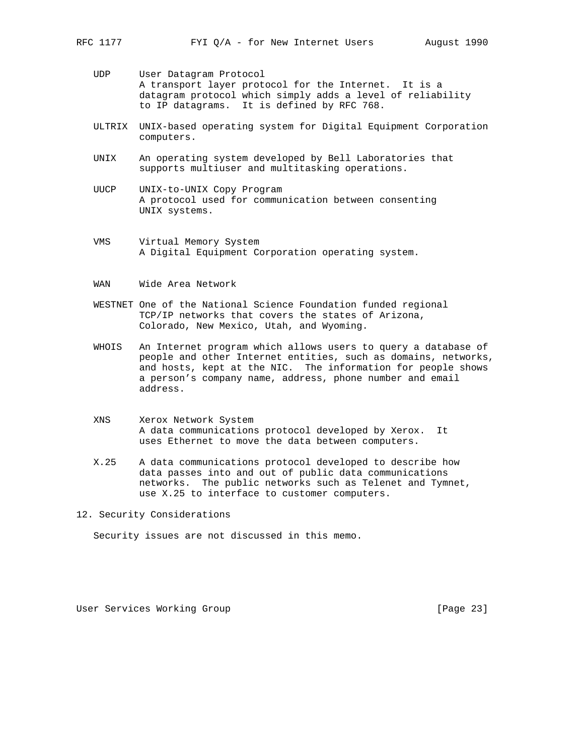- UDP User Datagram Protocol A transport layer protocol for the Internet. It is a datagram protocol which simply adds a level of reliability to IP datagrams. It is defined by RFC 768.
- ULTRIX UNIX-based operating system for Digital Equipment Corporation computers.
- UNIX An operating system developed by Bell Laboratories that supports multiuser and multitasking operations.
- UUCP UNIX-to-UNIX Copy Program A protocol used for communication between consenting UNIX systems.
- VMS Virtual Memory System A Digital Equipment Corporation operating system.
- WAN Wide Area Network
- WESTNET One of the National Science Foundation funded regional TCP/IP networks that covers the states of Arizona, Colorado, New Mexico, Utah, and Wyoming.
- WHOIS An Internet program which allows users to query a database of people and other Internet entities, such as domains, networks, and hosts, kept at the NIC. The information for people shows a person's company name, address, phone number and email address.
- XNS Xerox Network System A data communications protocol developed by Xerox. It uses Ethernet to move the data between computers.
- X.25 A data communications protocol developed to describe how data passes into and out of public data communications networks. The public networks such as Telenet and Tymnet, use X.25 to interface to customer computers.

12. Security Considerations

Security issues are not discussed in this memo.

User Services Working Group [Page 23]